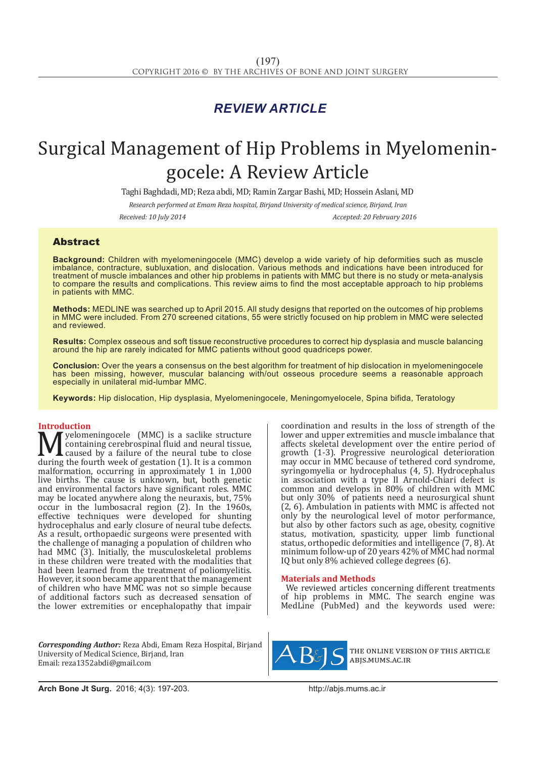## *REVIEW ARTICLE*

# Surgical Management of Hip Problems in Myelomeningocele: A Review Article

Taghi Baghdadi, MD; Reza abdi, MD; Ramin Zargar Bashi, MD; Hossein Aslani, MD

*Research performed at Emam Reza hospital, Birjand University of medical science, Birjand, Iran*

*Received: 10 July 2014 Accepted: 20 February 2016*

### Abstract

**Background:** Children with myelomeningocele (MMC) develop a wide variety of hip deformities such as muscle imbalance, contracture, subluxation, and dislocation. Various methods and indications have been introduced for treatment of muscle imbalances and other hip problems in patients with MMC but there is no study or meta-analysis to compare the results and complications. This review aims to find the most acceptable approach to hip problems in patients with MMC.

**Methods:** MEDLINE was searched up to April 2015. All study designs that reported on the outcomes of hip problems in MMC were included. From 270 screened citations, 55 were strictly focused on hip problem in MMC were selected and reviewed.

**Results:** Complex osseous and soft tissue reconstructive procedures to correct hip dysplasia and muscle balancing around the hip are rarely indicated for MMC patients without good quadriceps power.

**Conclusion:** Over the years a consensus on the best algorithm for treatment of hip dislocation in myelomeningocele has been missing, however, muscular balancing with/out osseous procedure seems a reasonable approach especially in unilateral mid-lumbar MMC.

**Keywords:** Hip dislocation, Hip dysplasia, Myelomeningocele, Meningomyelocele, Spina bifida, Teratology

**Introduction**<br>**N** *A* yelomeningocele (MMC) is a saclike structure **M** yelomeningocele (MMC) is a saclike structure<br>caused by a failure of the neural tube to close<br>during the fourth week of gestation (1). It is a common<br>malformation, occurring in approximately 1 in 1000 containing cerebrospinal fluid and neural tissue, caused by a failure of the neural tube to close during the fourth week of gestation (1). It is a common malformation, occurring in approximately 1 in 1,000 live births. The cause is unknown, but, both genetic and environmental factors have significant roles. MMC may be located anywhere along the neuraxis, but, 75% occur in the lumbosacral region (2). In the 1960s, effective techniques were developed for shunting hydrocephalus and early closure of neural tube defects. As a result, orthopaedic surgeons were presented with the challenge of managing a population of children who had MMC (3). Initially, the musculoskeletal problems in these children were treated with the modalities that had been learned from the treatment of poliomyelitis. However, it soon became apparent that the management of children who have MMC was not so simple because of additional factors such as decreased sensation of the lower extremities or encephalopathy that impair

*Corresponding Author:* Reza Abdi, Emam Reza Hospital, Birjand University of Medical Science, Birjand, Iran Email: reza1352abdi@gmail.com

coordination and results in the loss of strength of the lower and upper extremities and muscle imbalance that affects skeletal development over the entire period of growth (1-3). Progressive neurological deterioration may occur in MMC because of tethered cord syndrome, syringomyelia or hydrocephalus (4, 5). Hydrocephalus in association with a type II Arnold-Chiari defect is common and develops in 80% of children with MMC but only 30% of patients need a neurosurgical shunt (2, 6). Ambulation in patients with MMC is affected not only by the neurological level of motor performance, but also by other factors such as age, obesity, cognitive status, motivation, spasticity, upper limb functional status, orthopedic deformities and intelligence (7, 8). At minimum follow-up of 20 years 42% of MMC had normal IQ but only 8% achieved college degrees (6).

#### **Materials and Methods**

We reviewed articles concerning different treatments of hip problems in MMC. The search engine was MedLine (PubMed) and the keywords used were:



the online version of this article abjs.mums.ac.ir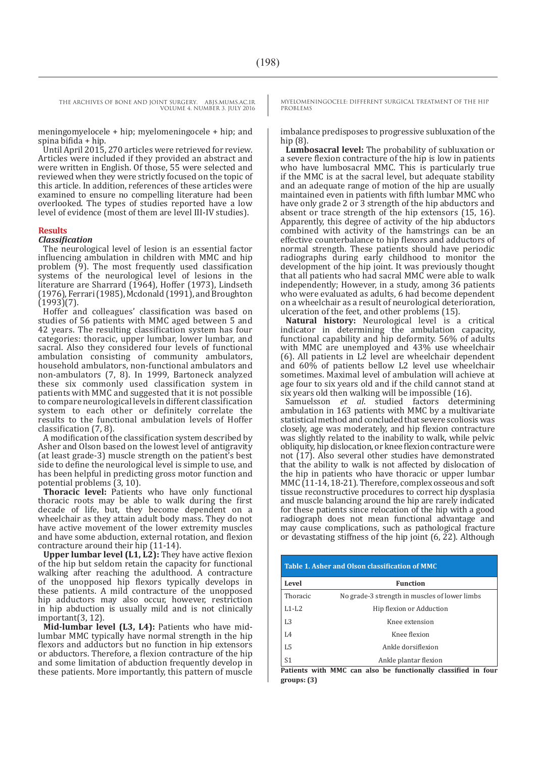THE ARCHIVES OF BONE AND JOINT SURGERY. ABJS.MUMS.AC.IR

VOLUME 4. NUMBER 3. JULY 2016

meningomyelocele + hip; myelomeningocele + hip; and spina bifida + hip.

Until April 2015, 270 articles were retrieved for review. Articles were included if they provided an abstract and were written in English. Of those, 55 were selected and reviewed when they were strictly focused on the topic of this article. In addition, references of these articles were examined to ensure no compelling literature had been overlooked. The types of studies reported have a low level of evidence (most of them are level III-IV studies).

#### **Results**

#### *Classification*

The neurological level of lesion is an essential factor influencing ambulation in children with MMC and hip problem (9). The most frequently used classification systems of the neurological level of lesions in the literature are Sharrard (1964), Hoffer (1973), Lindseth (1976), Ferrari (1985), Mcdonald (1991), and Broughton (1993)(7).

Hoffer and colleagues' classification was based on studies of 56 patients with MMC aged between 5 and 42 years. The resulting classification system has four categories: thoracic, upper lumbar, lower lumbar, and sacral. Also they considered four levels of functional ambulation consisting of community ambulators, household ambulators, non-functional ambulators and non-ambulators (7, 8). In 1999, Bartoneck analyzed these six commonly used classification system in patients with MMC and suggested that it is not possible to compare neurological levels in different classification system to each other or definitely correlate the results to the functional ambulation levels of Hoffer classification (7, 8).

A modification of the classification system described by Asher and Olson based on the lowest level of antigravity (at least grade-3) muscle strength on the patient's best side to define the neurological level is simple to use, and has been helpful in predicting gross motor function and potential problems (3, 10).

**Thoracic level:** Patients who have only functional thoracic roots may be able to walk during the first decade of life, but, they become dependent on a wheelchair as they attain adult body mass. They do not have active movement of the lower extremity muscles and have some abduction, external rotation, and flexion contracture around their hip (11-14).

**Upper lumbar level (L1, L2):** They have active flexion of the hip but seldom retain the capacity for functional walking after reaching the adulthood. A contracture of the unopposed hip flexors typically develops in these patients. A mild contracture of the unopposed hip adductors may also occur, however, restriction in hip abduction is usually mild and is not clinically important(3, 12).

**Mid-lumbar level (L3, L4):** Patients who have midlumbar MMC typically have normal strength in the hip flexors and adductors but no function in hip extensors or abductors. Therefore, a flexion contracture of the hip and some limitation of abduction frequently develop in these patients. More importantly, this pattern of muscle MYELOMENINGOCELE: DIFFERENT SURGICAL TREATMENT OF THE HIP PROBLEMS

imbalance predisposes to progressive subluxation of the hip (8).

**Lumbosacral level:** The probability of subluxation or a severe flexion contracture of the hip is low in patients who have lumbosacral MMC. This is particularly true if the MMC is at the sacral level, but adequate stability and an adequate range of motion of the hip are usually maintained even in patients with fifth lumbar MMC who have only grade 2 or 3 strength of the hip abductors and absent or trace strength of the hip extensors (15, 16). Apparently, this degree of activity of the hip abductors combined with activity of the hamstrings can be an effective counterbalance to hip flexors and adductors of normal strength. These patients should have periodic radiographs during early childhood to monitor the development of the hip joint. It was previously thought that all patients who had sacral MMC were able to walk independently; However, in a study, among 36 patients who were evaluated as adults, 6 had become dependent on a wheelchair as a result of neurological deterioration, ulceration of the feet, and other problems (15).

**Natural history:** Neurological level is a critical indicator in determining the ambulation capacity, functional capability and hip deformity. 56% of adults with MMC are unemployed and 43% use wheelchair (6). All patients in L2 level are wheelchair dependent and 60% of patients bellow L2 level use wheelchair sometimes. Maximal level of ambulation will achieve at age four to six years old and if the child cannot stand at six years old then walking will be impossible (16).

Samuelsson *et al*. studied factors determining ambulation in 163 patients with MMC by a multivariate statistical method and concluded that severe scoliosis was closely, age was moderately, and hip flexion contracture was slightly related to the inability to walk, while pelvic obliquity, hip dislocation, or knee flexion contracture were not (17). Also several other studies have demonstrated that the ability to walk is not affected by dislocation of the hip in patients who have thoracic or upper lumbar MMC (11-14, 18-21). Therefore, complex osseous and soft tissue reconstructive procedures to correct hip dysplasia and muscle balancing around the hip are rarely indicated for these patients since relocation of the hip with a good radiograph does not mean functional advantage and may cause complications, such as pathological fracture or devastating stiffness of the hip joint (6, 22). Although

| Table 1. Asher and Olson classification of MMC |                                               |
|------------------------------------------------|-----------------------------------------------|
| Level                                          | <b>Function</b>                               |
| Thoracic                                       | No grade-3 strength in muscles of lower limbs |
| $L1-I.2$                                       | Hip flexion or Adduction                      |
| L <sub>3</sub>                                 | Knee extension                                |
| L4                                             | Knee flexion                                  |
| L5                                             | Ankle dorsiflexion                            |
| S <sub>1</sub>                                 | Ankle plantar flexion                         |

**Patients with MMC can also be functionally classified in four groups: (3)**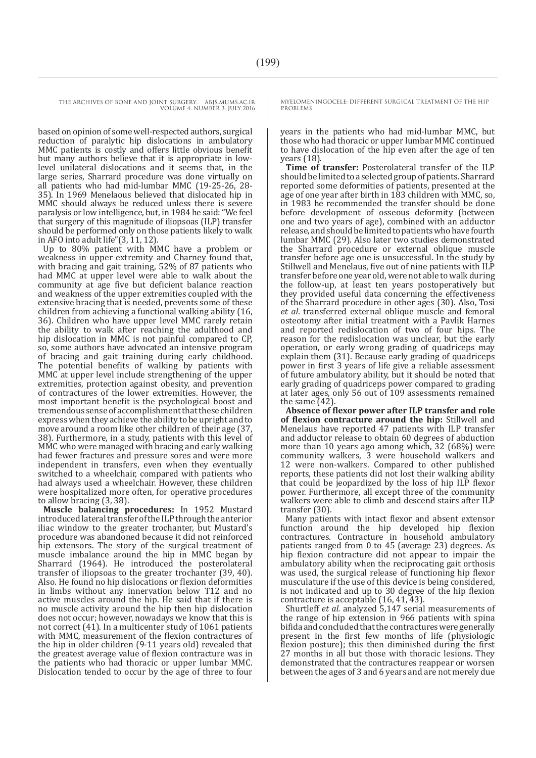based on opinion of some well-respected authors, surgical reduction of paralytic hip dislocations in ambulatory MMC patients is costly and offers little obvious benefit but many authors believe that it is appropriate in lowlevel unilateral dislocations and it seems that, in the large series, Sharrard procedure was done virtually on all patients who had mid-lumbar MMC (19-25-26, 28- 35). In 1969 Menelaous believed that dislocated hip in MMC should always be reduced unless there is severe paralysis or low intelligence, but, in 1984 he said: "We feel that surgery of this magnitude of iliopsoas (ILP) transfer should be performed only on those patients likely to walk in AFO into adult life"(3, 11, 12).

Up to 80% patient with MMC have a problem or weakness in upper extremity and Charney found that, with bracing and gait training, 52% of 87 patients who had MMC at upper level were able to walk about the community at age five but deficient balance reaction and weakness of the upper extremities coupled with the extensive bracing that is needed, prevents some of these children from achieving a functional walking ability (16, 36). Children who have upper level MMC rarely retain the ability to walk after reaching the adulthood and hip dislocation in MMC is not painful compared to CP, so, some authors have advocated an intensive program of bracing and gait training during early childhood. The potential benefits of walking by patients with MMC at upper level include strengthening of the upper extremities, protection against obesity, and prevention of contractures of the lower extremities. However, the most important benefit is the psychological boost and tremendous sense of accomplishment that these children express when they achieve the ability to be upright and to move around a room like other children of their age (37, 38). Furthermore, in a study, patients with this level of MMC who were managed with bracing and early walking had fewer fractures and pressure sores and were more independent in transfers, even when they eventually switched to a wheelchair, compared with patients who had always used a wheelchair. However, these children were hospitalized more often, for operative procedures to allow bracing (3, 38).

**Muscle balancing procedures:** In 1952 Mustard introduced lateral transfer of the ILP through the anterior iliac window to the greater trochanter, but Mustard's procedure was abandoned because it did not reinforced hip extensors. The story of the surgical treatment of muscle imbalance around the hip in MMC began by Sharrard (1964). He introduced the posterolateral transfer of iliopsoas to the greater trochanter (39, 40). Also. He found no hip dislocations or flexion deformities in limbs without any innervation below T12 and no active muscles around the hip. He said that if there is no muscle activity around the hip then hip dislocation does not occur; however, nowadays we know that this is not correct (41). In a multicenter study of 1061 patients with MMC, measurement of the flexion contractures of the hip in older children (9-11 years old) revealed that the greatest average value of flexion contracture was in the patients who had thoracic or upper lumbar MMC. Dislocation tended to occur by the age of three to four

MYELOMENINGOCELE: DIFFERENT SURGICAL TREATMENT OF THE HIP PROBLEMS

years in the patients who had mid-lumbar MMC, but those who had thoracic or upper lumbar MMC continued to have dislocation of the hip even after the age of ten years (18).

**Time of transfer:** Posterolateral transfer of the ILP should be limited to a selected group of patients. Sharrard reported some deformities of patients, presented at the age of one year after birth in 183 children with MMC, so, in 1983 he recommended the transfer should be done before development of osseous deformity (between one and two years of age), combined with an adductor release, and should be limited to patients who have fourth lumbar MMC (29). Also later two studies demonstrated the Sharrard procedure or external oblique muscle transfer before age one is unsuccessful. In the study by Stillwell and Menelaus, five out of nine patients with ILP transfer before one year old, were not able to walk during the follow-up, at least ten years postoperatively but they provided useful data concerning the effectiveness of the Sharrard procedure in other ages (30). Also, Tosi *et al*. transferred external oblique muscle and femoral osteotomy after initial treatment with a Pavlik Harnes and reported redislocation of two of four hips. The reason for the redislocation was unclear, but the early operation, or early wrong grading of quadriceps may explain them (31). Because early grading of quadriceps power in first 3 years of life give a reliable assessment of future ambulatory ability, but it should be noted that early grading of quadriceps power compared to grading at later ages, only 56 out of 109 assessments remained the same (42).

**Absence of flexor power after ILP transfer and role of flexion contracture around the hip:** Stillwell and Menelaus have reported 47 patients with ILP transfer and adductor release to obtain 60 degrees of abduction more than 10 years ago among which, 32 (68%) were community walkers, 3 were household walkers and 12 were non-walkers. Compared to other published reports, these patients did not lost their walking ability that could be jeopardized by the loss of hip ILP flexor power. Furthermore, all except three of the community walkers were able to climb and descend stairs after ILP transfer (30).

Many patients with intact flexor and absent extensor function around the hip developed hip flexion contractures. Contracture in household ambulatory patients ranged from 0 to 45 (average 23) degrees. As hip flexion contracture did not appear to impair the ambulatory ability when the reciprocating gait orthosis was used, the surgical release of functioning hip flexor musculature if the use of this device is being considered, is not indicated and up to 30 degree of the hip flexion contracture is acceptable (16, 41, 43).

Shurtleff *et al.* analyzed 5,147 serial measurements of the range of hip extension in 966 patients with spina bifida and concluded that the contractures were generally present in the first few months of life (physiologic flexion posture); this then diminished during the first 27 months in all but those with thoracic lesions. They demonstrated that the contractures reappear or worsen between the ages of 3 and 6 years and are not merely due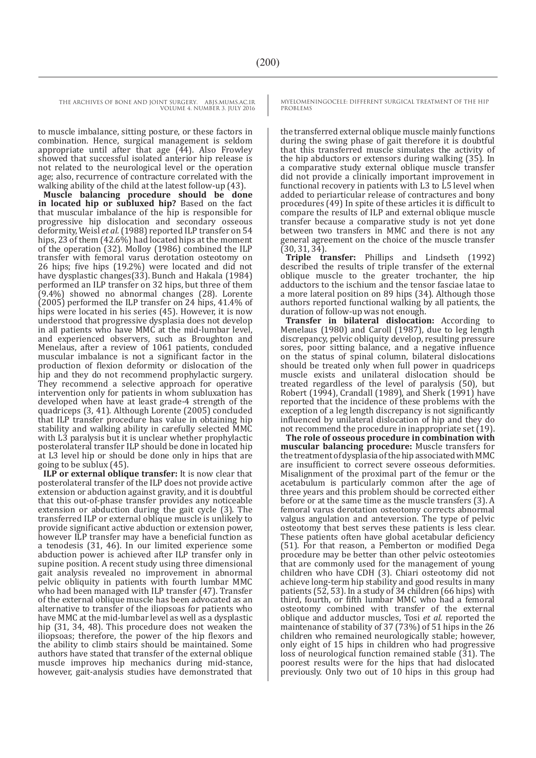THE ARCHIVES OF BONE AND JOINT SURGERY. ABJS.MUMS.AC.IR

VOLUME 4. NUMBER 3. JULY 2016

to muscle imbalance, sitting posture, or these factors in combination. Hence, surgical management is seldom appropriate until after that age  $(44)$ . Also Frowley showed that successful isolated anterior hip release is not related to the neurological level or the operation age; also, recurrence of contracture correlated with the walking ability of the child at the latest follow-up (43).

**Muscle balancing procedure should be done in located hip or subluxed hip?** Based on the fact that muscular imbalance of the hip is responsible for progressive hip dislocation and secondary osseous deformity, Weisl et al. (1988) reported ILP transfer on 54 hips, 23 of them (42.6%) had located hips at the moment of the operation (32). Molloy (1986) combined the ILP transfer with femoral varus derotation osteotomy on 26 hips; five hips (19.2%) were located and did not have dysplastic changes(33). Bunch and Hakala (1984) performed an ILP transfer on 32 hips, but three of them (9.4%) showed no abnormal changes (28). Lorente (2005) performed the ILP transfer on 24 hips, 41.4% of hips were located in his series (45). However, it is now understood that progressive dysplasia does not develop in all patients who have MMC at the mid-lumbar level, and experienced observers, such as Broughton and Menelaus, after a review of 1061 patients, concluded muscular imbalance is not a significant factor in the production of flexion deformity or dislocation of the hip and they do not recommend prophylactic surgery. They recommend a selective approach for operative intervention only for patients in whom subluxation has developed when have at least grade-4 strength of the quadriceps (3, 41). Although Lorente (2005) concluded that ILP transfer procedure has value in obtaining hip stability and walking ability in carefully selected MMC with L3 paralysis but it is unclear whether prophylactic posterolateral transfer ILP should be done in located hip at L3 level hip or should be done only in hips that are going to be sublux (45).

**ILP or external oblique transfer:** It is now clear that posterolateral transfer of the ILP does not provide active extension or abduction against gravity, and it is doubtful that this out-of-phase transfer provides any noticeable extension or abduction during the gait cycle (3). The transferred ILP or external oblique muscle is unlikely to provide significant active abduction or extension power, however ILP transfer may have a beneficial function as a tenodesis (31, 46). In our limited experience some abduction power is achieved after ILP transfer only in supine position. A recent study using three dimensional gait analysis revealed no improvement in abnormal pelvic obliquity in patients with fourth lumbar MMC who had been managed with ILP transfer (47). Transfer of the external oblique muscle has been advocated as an alternative to transfer of the iliopsoas for patients who have MMC at the mid-lumbar level as well as a dysplastic hip (31, 34, 48). This procedure does not weaken the iliopsoas; therefore, the power of the hip flexors and the ability to climb stairs should be maintained. Some authors have stated that transfer of the external oblique muscle improves hip mechanics during mid-stance, however, gait-analysis studies have demonstrated that MYELOMENINGOCELE: DIFFERENT SURGICAL TREATMENT OF THE HIP PROBLEMS

the transferred external oblique muscle mainly functions during the swing phase of gait therefore it is doubtful that this transferred muscle simulates the activity of the hip abductors or extensors during walking (35). In a comparative study external oblique muscle transfer did not provide a clinically important improvement in functional recovery in patients with L3 to L5 level when added to periarticular release of contractures and bony procedures (49) In spite of these articles it is difficult to compare the results of ILP and external oblique muscle transfer because a comparative study is not yet done between two transfers in MMC and there is not any general agreement on the choice of the muscle transfer (30, 31, 34).

**Triple transfer:** Phillips and Lindseth (1992) described the results of triple transfer of the external oblique muscle to the greater trochanter, the hip adductors to the ischium and the tensor fasciae latae to a more lateral position on 89 hips (34). Although those authors reported functional walking by all patients, the duration of follow-up was not enough.

**Transfer in bilateral dislocation:** According to Menelaus (1980) and Caroll (1987), due to leg length discrepancy, pelvic obliquity develop, resulting pressure sores, poor sitting balance, and a negative influence on the status of spinal column, bilateral dislocations should be treated only when full power in quadriceps muscle exists and unilateral dislocation should be treated regardless of the level of paralysis (50), but Robert (1994), Crandall (1989), and Sherk (1991) have reported that the incidence of these problems with the exception of a leg length discrepancy is not significantly influenced by unilateral dislocation of hip and they do not recommend the procedure in inappropriate set (19).

**The role of osseous procedure in combination with muscular balancing procedure:** Muscle transfers for the treatment of dysplasia of the hip associated with MMC are insufficient to correct severe osseous deformities. Misalignment of the proximal part of the femur or the acetabulum is particularly common after the age of three years and this problem should be corrected either before or at the same time as the muscle transfers (3). A femoral varus derotation osteotomy corrects abnormal valgus angulation and anteversion. The type of pelvic osteotomy that best serves these patients is less clear. These patients often have global acetabular deficiency (51). For that reason, a Pemberton or modified Dega procedure may be better than other pelvic osteotomies that are commonly used for the management of young children who have CDH (3). Chiari osteotomy did not achieve long-term hip stability and good results in many patients (52, 53). In a study of 34 children (66 hips) with third, fourth, or fifth lumbar MMC who had a femoral osteotomy combined with transfer of the external oblique and adductor muscles, Tosi *et al.* reported the maintenance of stability of 37 (73%) of 51 hips in the 26 children who remained neurologically stable; however, only eight of 15 hips in children who had progressive loss of neurological function remained stable (31). The poorest results were for the hips that had dislocated previously. Only two out of 10 hips in this group had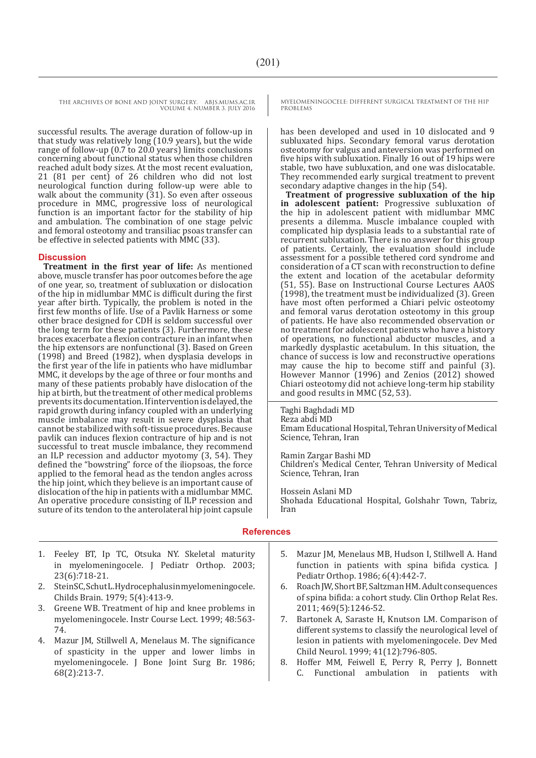> successful results. The average duration of follow-up in that study was relatively long (10.9 years), but the wide range of follow-up (0.7 to 20.0 years) limits conclusions concerning about functional status when those children reached adult body sizes. At the most recent evaluation, 21 (81 per cent) of 26 children who did not lost neurological function during follow-up were able to walk about the community  $(31)$ . So even after osseous procedure in MMC, progressive loss of neurological function is an important factor for the stability of hip and ambulation. The combination of one stage pelvic and femoral osteotomy and transiliac psoas transfer can be effective in selected patients with MMC (33).

#### **Discussion**

**Treatment in the first year of life:** As mentioned above, muscle transfer has poor outcomes before the age of one year, so, treatment of subluxation or dislocation of the hip in midlumbar MMC is difficult during the first year after birth. Typically, the problem is noted in the first few months of life. Use of a Pavlik Harness or some other brace designed for CDH is seldom successful over the long term for these patients (3). Furthermore, these braces exacerbate a flexion contracture in an infant when the hip extensors are nonfunctional (3). Based on Green (1998) and Breed (1982), when dysplasia develops in the first year of the life in patients who have midlumbar MMC, it develops by the age of three or four months and many of these patients probably have dislocation of the hip at birth, but the treatment of other medical problems prevents its documentation. If intervention is delayed, the rapid growth during infancy coupled with an underlying muscle imbalance may result in severe dysplasia that cannot be stabilized with soft-tissue procedures. Because pavlik can induces flexion contracture of hip and is not successful to treat muscle imbalance, they recommend an ILP recession and adductor myotomy (3, 54). They defined the "bowstring" force of the iliopsoas, the force applied to the femoral head as the tendon angles across the hip joint, which they believe is an important cause of dislocation of the hip in patients with a midlumbar MMC. An operative procedure consisting of ILP recession and suture of its tendon to the anterolateral hip joint capsule MYELOMENINGOCELE: DIFFERENT SURGICAL TREATMENT OF THE HIP PROBLEMS

has been developed and used in 10 dislocated and 9 subluxated hips. Secondary femoral varus derotation osteotomy for valgus and anteversion was performed on five hips with subluxation. Finally 16 out of 19 hips were stable, two have subluxation, and one was dislocatable. They recommended early surgical treatment to prevent secondary adaptive changes in the hip (54).

**Treatment of progressive subluxation of the hip in adolescent patient:** Progressive subluxation of the hip in adolescent patient with midlumbar MMC presents a dilemma. Muscle imbalance coupled with complicated hip dysplasia leads to a substantial rate of recurrent subluxation. There is no answer for this group of patients. Certainly, the evaluation should include assessment for a possible tethered cord syndrome and consideration of a CT scan with reconstruction to define the extent and location of the acetabular deformity (51, 55). Base on Instructional Course Lectures AAOS (1998), the treatment must be individualized (3). Green have most often performed a Chiari pelvic osteotomy and femoral varus derotation osteotomy in this group of patients. He have also recommended observation or no treatment for adolescent patients who have a history of operations, no functional abductor muscles, and a markedly dysplastic acetabulum. In this situation, the chance of success is low and reconstructive operations may cause the hip to become stiff and painful (3). However Mannor (1996) and Zenios (2012) showed Chiari osteotomy did not achieve long-term hip stability and good results in MMC (52, 53).

Taghi Baghdadi MD Reza abdi MD Emam Educational Hospital, Tehran University of Medical Science, Tehran, Iran

Ramin Zargar Bashi MD Children's Medical Center, Tehran University of Medical Science, Tehran, Iran

Hossein Aslani MD Shohada Educational Hospital, Golshahr Town, Tabriz, Iran

#### **References**

- 1. Feeley BT, Ip TC, Otsuka NY. Skeletal maturity in myelomeningocele. J Pediatr Orthop. 2003; 23(6):718-21.
- 2. Stein SC, Schut L. Hydrocephalus in myelomening ocele. Childs Brain. 1979; 5(4):413-9.
- 3. Greene WB. Treatment of hip and knee problems in myelomeningocele. Instr Course Lect. 1999; 48:563- 74.
- 4. Mazur JM, Stillwell A, Menelaus M. The significance of spasticity in the upper and lower limbs in myelomeningocele. J Bone Joint Surg Br. 1986; 68(2):213-7.
- 5. Mazur JM, Menelaus MB, Hudson I, Stillwell A. Hand function in patients with spina bifida cystica. J Pediatr Orthop. 1986; 6(4):442-7.
- 6. Roach JW, Short BF, Saltzman HM. Adult consequences of spina bifida: a cohort study. Clin Orthop Relat Res. 2011; 469(5):1246-52.
- 7. Bartonek A, Saraste H, Knutson LM. Comparison of different systems to classify the neurological level of lesion in patients with myelomeningocele. Dev Med Child Neurol. 1999; 41(12):796-805.
- 8. Hoffer MM, Feiwell E, Perry R, Perry J, Bonnett C. Functional ambulation in patients with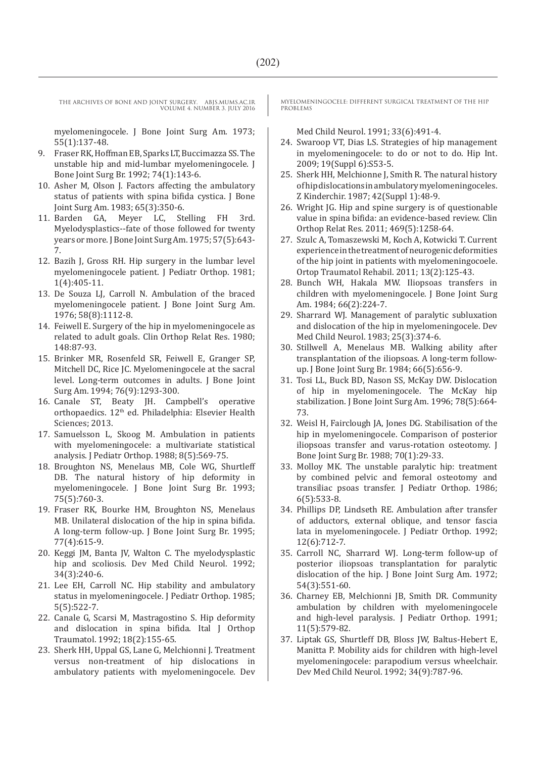myelomeningocele. J Bone Joint Surg Am. 1973; 55(1):137-48.

- 9. Fraser RK, Hoffman EB, Sparks LT, Buccimazza SS. The unstable hip and mid-lumbar myelomeningocele. J Bone Joint Surg Br. 1992; 74(1):143-6.
- 10. Asher M, Olson J. Factors affecting the ambulatory status of patients with spina bifida cystica. J Bone Joint Surg Am. 1983; 65(3):350-6.<br>11. Barden GA. Mever LC. St.
- Meyer LC, Stelling FH 3rd. Myelodysplastics--fate of those followed for twenty years or more. J Bone Joint Surg Am. 1975; 57(5):643- 7.
- 12. Bazih J, Gross RH. Hip surgery in the lumbar level myelomeningocele patient. J Pediatr Orthop. 1981; 1(4):405-11.
- 13. De Souza LJ, Carroll N. Ambulation of the braced myelomeningocele patient. J Bone Joint Surg Am. 1976; 58(8):1112-8.
- 14. Feiwell E. Surgery of the hip in myelomeningocele as related to adult goals. Clin Orthop Relat Res. 1980; 148:87-93.
- 15. Brinker MR, Rosenfeld SR, Feiwell E, Granger SP, Mitchell DC, Rice JC. Myelomeningocele at the sacral level. Long-term outcomes in adults. J Bone Joint Surg Am. 1994; 76(9):1293-300.
- 16. Canale ST, Beaty JH. Campbell's operative orthopaedics. 12<sup>th</sup> ed. Philadelphia: Elsevier Health Sciences; 2013.
- 17. Samuelsson L, Skoog M. Ambulation in patients with myelomeningocele: a multivariate statistical analysis. J Pediatr Orthop. 1988; 8(5):569-75.
- 18. Broughton NS, Menelaus MB, Cole WG, Shurtleff DB. The natural history of hip deformity in myelomeningocele. J Bone Joint Surg Br. 1993; 75(5):760-3.
- 19. Fraser RK, Bourke HM, Broughton NS, Menelaus MB. Unilateral dislocation of the hip in spina bifida. A long-term follow-up. J Bone Joint Surg Br. 1995; 77(4):615-9.
- 20. Keggi JM, Banta JV, Walton C. The myelodysplastic hip and scoliosis. Dev Med Child Neurol. 1992; 34(3):240-6.
- 21. Lee EH, Carroll NC. Hip stability and ambulatory status in myelomeningocele. J Pediatr Orthop. 1985; 5(5):522-7.
- 22. Canale G, Scarsi M, Mastragostino S. Hip deformity and dislocation in spina bifida. Ital J Orthop Traumatol. 1992; 18(2):155-65.
- 23. Sherk HH, Uppal GS, Lane G, Melchionni J. Treatment versus non-treatment of hip dislocations in ambulatory patients with myelomeningocele. Dev

MYELOMENINGOCELE: DIFFERENT SURGICAL TREATMENT OF THE HIP PROBLEMS

Med Child Neurol. 1991; 33(6):491-4.

- 24. Swaroop VT, Dias LS. Strategies of hip management in myelomeningocele: to do or not to do. Hip Int. 2009; 19(Suppl 6):S53-5.
- 25. Sherk HH, Melchionne J, Smith R. The natural history of hip dislocations in ambulatory myelomeningoceles. Z Kinderchir. 1987; 42(Suppl 1):48-9.
- 26. Wright JG. Hip and spine surgery is of questionable value in spina bifida: an evidence-based review. Clin Orthop Relat Res. 2011; 469(5):1258-64.
- 27. Szulc A, Tomaszewski M, Koch A, Kotwicki T. Current experience in the treatment of neurogenic deformities of the hip joint in patients with myelomeningocoele. Ortop Traumatol Rehabil. 2011; 13(2):125-43.
- 28. Bunch WH, Hakala MW. Iliopsoas transfers in children with myelomeningocele. J Bone Joint Surg Am. 1984; 66(2):224-7.
- 29. Sharrard WJ. Management of paralytic subluxation and dislocation of the hip in myelomeningocele. Dev Med Child Neurol. 1983; 25(3):374-6.
- 30. Stillwell A, Menelaus MB. Walking ability after transplantation of the iliopsoas. A long-term followup. J Bone Joint Surg Br. 1984; 66(5):656-9.
- 31. Tosi LL, Buck BD, Nason SS, McKay DW. Dislocation of hip in myelomeningocele. The McKay hip stabilization. J Bone Joint Surg Am. 1996; 78(5):664- 73.
- 32. Weisl H, Fairclough JA, Jones DG. Stabilisation of the hip in myelomeningocele. Comparison of posterior iliopsoas transfer and varus-rotation osteotomy. J Bone Joint Surg Br. 1988; 70(1):29-33.
- 33. Molloy MK. The unstable paralytic hip: treatment by combined pelvic and femoral osteotomy and transiliac psoas transfer. J Pediatr Orthop. 1986; 6(5):533-8.
- 34. Phillips DP, Lindseth RE. Ambulation after transfer of adductors, external oblique, and tensor fascia lata in myelomeningocele. J Pediatr Orthop. 1992; 12(6):712-7.
- 35. Carroll NC, Sharrard WJ. Long-term follow-up of posterior iliopsoas transplantation for paralytic dislocation of the hip. J Bone Joint Surg Am. 1972; 54(3):551-60.
- 36. Charney EB, Melchionni JB, Smith DR. Community ambulation by children with myelomeningocele and high-level paralysis. J Pediatr Orthop. 1991; 11(5):579-82.
- 37. Liptak GS, Shurtleff DB, Bloss JW, Baltus-Hebert E, Manitta P. Mobility aids for children with high-level myelomeningocele: parapodium versus wheelchair. Dev Med Child Neurol. 1992; 34(9):787-96.